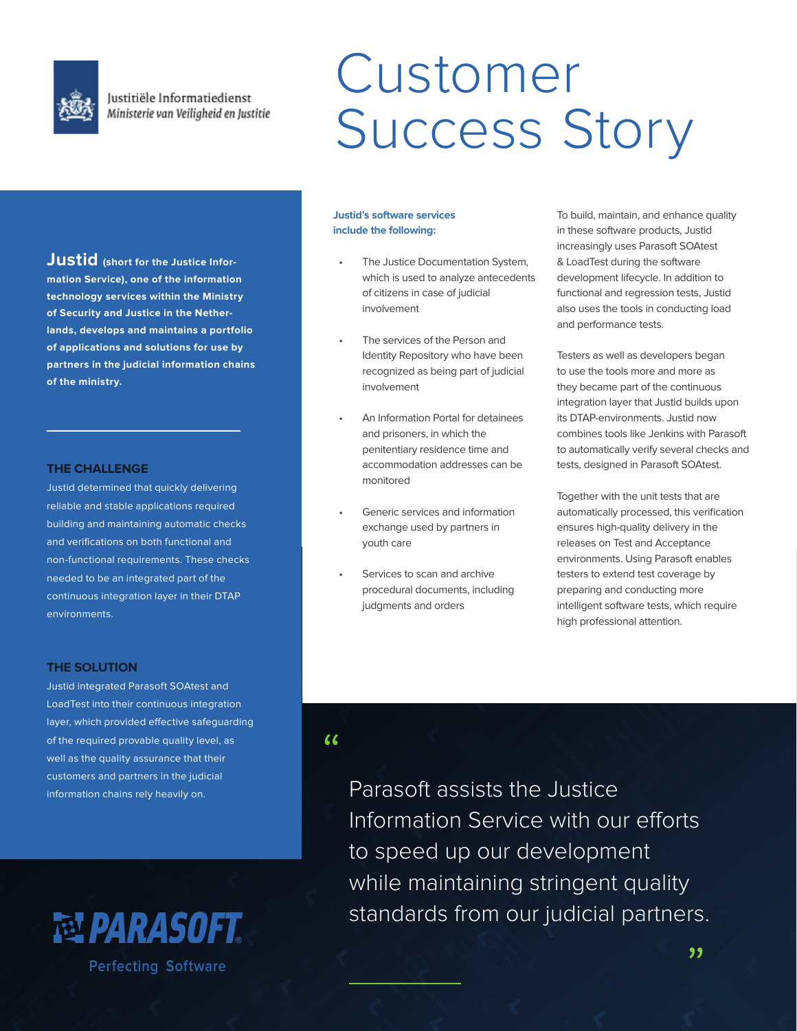

Justitiële Informatiedienst Ministerie van Veiligheid en Justitie

# Customer Success Story

**Justid (short for the Justice Information Service), one of the information technology services within the Ministry of Security and Justice in the Netherlands, develops and maintains a portfolio of applications and solutions for use by partners in the judicial information chains of the ministry.**

## **THE CHALLENGE**

Justid determined that quickly delivering reliable and stable applications required building and maintaining automatic checks and verifications on both functional and non-functional requirements. These checks needed to be an integrated part of the continuous integration layer in their DTAP environments.

## **THE SOLUTION**

Justid integrated Parasoft SOAtest and LoadTest into their continuous integration layer, which provided effective safeguarding of the required provable quality level, as well as the quality assurance that their customers and partners in the judicial information chains rely heavily on.



## **Justid's software services include the following:**

- The Justice Documentation System, which is used to analyze antecedents of citizens in case of judicial involvement
- The services of the Person and Identity Repository who have been recognized as being part of judicial involvement
- An Information Portal for detainees and prisoners, in which the penitentiary residence time and accommodation addresses can be monitored
- Generic services and information exchange used by partners in youth care
- Services to scan and archive procedural documents, including judgments and orders

To build, maintain, and enhance quality in these software products, Justid increasingly uses Parasoft SOAtest & LoadTest during the software development lifecycle. In addition to functional and regression tests, Justid also uses the tools in conducting load and performance tests.

Testers as well as developers began to use the tools more and more as they became part of the continuous integration layer that Justid builds upon its DTAP-environments. Justid now combines tools like Jenkins with Parasoft to automatically verify several checks and tests, designed in Parasoft SOAtest.

Together with the unit tests that are automatically processed, this verification ensures high-quality delivery in the releases on Test and Acceptance environments. Using Parasoft enables testers to extend test coverage by preparing and conducting more intelligent software tests, which require high professional attention.

## $\epsilon$

Parasoft assists the Justice Information Service with our efforts to speed up our development while maintaining stringent quality standards from our judicial partners.